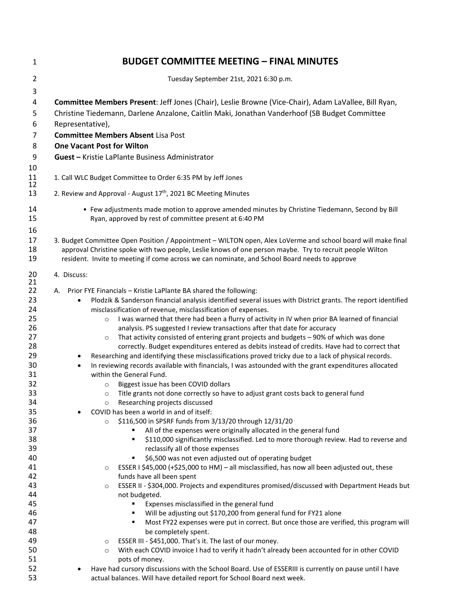| 1                    | <b>BUDGET COMMITTEE MEETING - FINAL MINUTES</b>                                                                                                                                                                                                                                                                           |
|----------------------|---------------------------------------------------------------------------------------------------------------------------------------------------------------------------------------------------------------------------------------------------------------------------------------------------------------------------|
| $\overline{2}$       | Tuesday September 21st, 2021 6:30 p.m.                                                                                                                                                                                                                                                                                    |
| 3                    |                                                                                                                                                                                                                                                                                                                           |
| 4                    | Committee Members Present: Jeff Jones (Chair), Leslie Browne (Vice-Chair), Adam LaVallee, Bill Ryan,                                                                                                                                                                                                                      |
| 5                    | Christine Tiedemann, Darlene Anzalone, Caitlin Maki, Jonathan Vanderhoof (SB Budget Committee                                                                                                                                                                                                                             |
| 6                    | Representative),                                                                                                                                                                                                                                                                                                          |
| 7                    | <b>Committee Members Absent Lisa Post</b>                                                                                                                                                                                                                                                                                 |
| 8                    | <b>One Vacant Post for Wilton</b>                                                                                                                                                                                                                                                                                         |
| 9                    | <b>Guest - Kristie LaPlante Business Administrator</b>                                                                                                                                                                                                                                                                    |
| 10                   |                                                                                                                                                                                                                                                                                                                           |
| 11<br>12             | 1. Call WLC Budget Committee to Order 6:35 PM by Jeff Jones                                                                                                                                                                                                                                                               |
| 13                   | 2. Review and Approval - August 17 <sup>th</sup> , 2021 BC Meeting Minutes                                                                                                                                                                                                                                                |
| 14<br>15             | • Few adjustments made motion to approve amended minutes by Christine Tiedemann, Second by Bill<br>Ryan, approved by rest of committee present at 6:40 PM                                                                                                                                                                 |
| 16<br>17<br>18<br>19 | 3. Budget Committee Open Position / Appointment - WILTON open, Alex LoVerme and school board will make final<br>approval Christine spoke with two people, Leslie knows of one person maybe. Try to recruit people Wilton<br>resident. Invite to meeting if come across we can nominate, and School Board needs to approve |
| 20                   | 4. Discuss:                                                                                                                                                                                                                                                                                                               |
| 21<br>22             | A. Prior FYE Financials - Kristie LaPlante BA shared the following:                                                                                                                                                                                                                                                       |
| 23                   | Plodzik & Sanderson financial analysis identified several issues with District grants. The report identified<br>$\bullet$                                                                                                                                                                                                 |
| 24                   | misclassification of revenue, misclassification of expenses.                                                                                                                                                                                                                                                              |
| 25                   | I was warned that there had been a flurry of activity in IV when prior BA learned of financial<br>$\circ$                                                                                                                                                                                                                 |
| 26                   | analysis. PS suggested I review transactions after that date for accuracy                                                                                                                                                                                                                                                 |
| 27                   | That activity consisted of entering grant projects and budgets - 90% of which was done<br>$\circ$                                                                                                                                                                                                                         |
| 28                   | correctly. Budget expenditures entered as debits instead of credits. Have had to correct that                                                                                                                                                                                                                             |
| 29                   | Researching and identifying these misclassifications proved tricky due to a lack of physical records.                                                                                                                                                                                                                     |
| 30                   | In reviewing records available with financials, I was astounded with the grant expenditures allocated<br>$\bullet$                                                                                                                                                                                                        |
| 31                   | within the General Fund.                                                                                                                                                                                                                                                                                                  |
| 32                   | Biggest issue has been COVID dollars<br>$\circ$                                                                                                                                                                                                                                                                           |
| 33                   | Title grants not done correctly so have to adjust grant costs back to general fund<br>$\circ$                                                                                                                                                                                                                             |
| 34                   | Researching projects discussed<br>$\circ$                                                                                                                                                                                                                                                                                 |
| 35                   | COVID has been a world in and of itself:                                                                                                                                                                                                                                                                                  |
| 36                   | \$116,500 in SPSRF funds from 3/13/20 through 12/31/20<br>$\circ$                                                                                                                                                                                                                                                         |
| 37                   | All of the expenses were originally allocated in the general fund<br>٠                                                                                                                                                                                                                                                    |
| 38<br>39             | \$110,000 significantly misclassified. Led to more thorough review. Had to reverse and<br>$\blacksquare$<br>reclassify all of those expenses                                                                                                                                                                              |
| 40                   | \$6,500 was not even adjusted out of operating budget<br>٠                                                                                                                                                                                                                                                                |
| 41                   | ESSER I \$45,000 (+\$25,000 to HM) - all misclassified, has now all been adjusted out, these<br>$\circ$                                                                                                                                                                                                                   |
| 42                   | funds have all been spent                                                                                                                                                                                                                                                                                                 |
| 43                   | ESSER II - \$304,000. Projects and expenditures promised/discussed with Department Heads but<br>$\circ$                                                                                                                                                                                                                   |
| 44                   | not budgeted.                                                                                                                                                                                                                                                                                                             |
| 45                   | Expenses misclassified in the general fund<br>٠                                                                                                                                                                                                                                                                           |
| 46                   | Will be adjusting out \$170,200 from general fund for FY21 alone<br>٠                                                                                                                                                                                                                                                     |
| 47                   | Most FY22 expenses were put in correct. But once those are verified, this program will<br>٠                                                                                                                                                                                                                               |
| 48                   | be completely spent.                                                                                                                                                                                                                                                                                                      |
| 49                   | ESSER III - \$451,000. That's it. The last of our money.<br>$\circ$                                                                                                                                                                                                                                                       |
| 50                   | With each COVID invoice I had to verify it hadn't already been accounted for in other COVID<br>$\circ$                                                                                                                                                                                                                    |
| 51                   | pots of money.                                                                                                                                                                                                                                                                                                            |
| 52                   | Have had cursory discussions with the School Board. Use of ESSERIII is currently on pause until I have                                                                                                                                                                                                                    |
| 53                   | actual balances. Will have detailed report for School Board next week.                                                                                                                                                                                                                                                    |